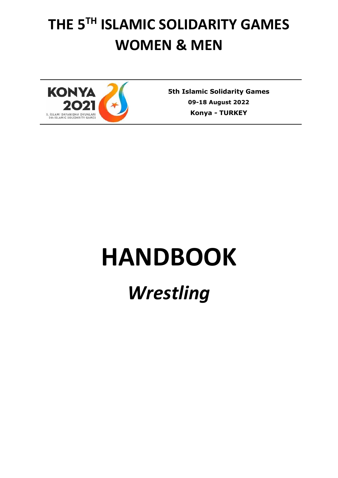# **THE 5 TH ISLAMIC SOLIDARITY GAMES WOMEN & MEN**



**5th Islamic Solidarity Games 09-18 August 2022 Konya** *-* **TURKEY**

# **HANDBOOK**

# *Wrestling*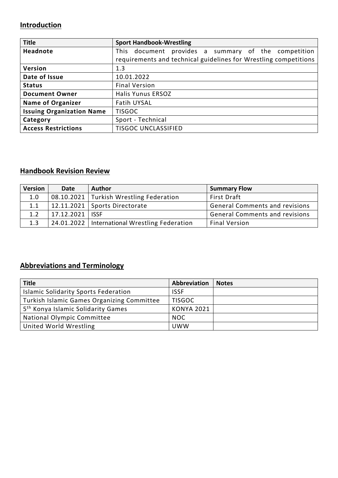## **Introduction**

| <b>Title</b>                     | <b>Sport Handbook-Wrestling</b>                                  |
|----------------------------------|------------------------------------------------------------------|
| Headnote                         | This document provides a summary of the competition              |
|                                  | requirements and technical guidelines for Wrestling competitions |
| Version                          | 1.3                                                              |
| Date of Issue                    | 10.01.2022                                                       |
| <b>Status</b>                    | <b>Final Version</b>                                             |
| <b>Document Owner</b>            | <b>Halis Yunus ERSOZ</b>                                         |
| <b>Name of Organizer</b>         | Fatih UYSAL                                                      |
| <b>Issuing Organization Name</b> | <b>TISGOC</b>                                                    |
| Category                         | Sport - Technical                                                |
| <b>Access Restrictions</b>       | <b>TISGOC UNCLASSIFIED</b>                                       |

## **Handbook Revision Review**

| <b>Version</b> | Date              | <b>Author</b>                                   | <b>Summary Flow</b>                   |
|----------------|-------------------|-------------------------------------------------|---------------------------------------|
| 1.0            |                   | 08.10.2021   Turkish Wrestling Federation       | <b>First Draft</b>                    |
| 1.1            |                   | $12.11.2021$ Sports Directorate                 | <b>General Comments and revisions</b> |
| 1.2            | 17.12.2021   ISSF |                                                 | <b>General Comments and revisions</b> |
| 1.3            |                   | 24.01.2022   International Wrestling Federation | <b>Final Version</b>                  |

## **Abbreviations and Terminology**

| <b>Title</b>                                      | Abbreviation      | <b>Notes</b> |
|---------------------------------------------------|-------------------|--------------|
| <b>Islamic Solidarity Sports Federation</b>       | <b>ISSF</b>       |              |
| <b>Turkish Islamic Games Organizing Committee</b> | <b>TISGOC</b>     |              |
| 5 <sup>th</sup> Konya Islamic Solidarity Games    | <b>KONYA 2021</b> |              |
| National Olympic Committee                        | NOC.              |              |
| United World Wrestling                            | <b>UWW</b>        |              |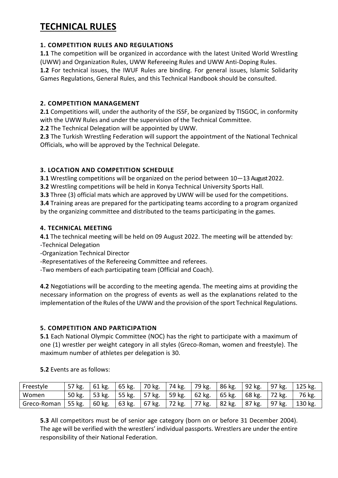# **TECHNICAL RULES**

#### **1. COMPETITION RULES AND REGULATIONS**

**1.1** The competition will be organized in accordance with the latest United World Wrestling (UWW) and Organization Rules, UWW Refereeing Rules and UWW Anti-Doping Rules.

**1.2** For technical issues, the IWUF Rules are binding. For general issues, Islamic Solidarity Games Regulations, General Rules, and this Technical Handbook should be consulted.

#### **2. COMPETITION MANAGEMENT**

**2.1** Competitions will, under the authority of the ISSF, be organized by TISGOC, in conformity with the UWW Rules and under the supervision of the Technical Committee.

**2.2** The Technical Delegation will be appointed by UWW.

**2.3** The Turkish Wrestling Federation will support the appointment of the National Technical Officials, who will be approved by the Technical Delegate.

#### **3. LOCATION AND COMPETITION SCHEDULE**

**3.1** Wrestling competitions will be organized on the period between 10—13 August 2022.

**3.2** Wrestling competitions will be held in Konya Technical University Sports Hall.

**3.3** Three (3) official mats which are approved by UWW will be used for the competitions.

**3.4** Training areas are prepared for the participating teams according to a program organized by the organizing committee and distributed to the teams participating in the games.

#### **4. TECHNICAL MEETING**

**4.1** The technical meeting will be held on 09 August 2022. The meeting will be attended by:

- -Technical Delegation
- -Organization Technical Director
- -Representatives of the Refereeing Committee and referees.
- -Two members of each participating team (Official and Coach).

**4.2** Negotiations will be according to the meeting agenda. The meeting aims at providing the necessary information on the progress of events as well as the explanations related to the implementation of the Rules of the UWW and the provision of the sport Technical Regulations.

#### **5. COMPETITION AND PARTICIPATION**

**5.1** Each National Olympic Committee (NOC) has the right to participate with a maximum of one (1) wrestler per weight category in all styles (Greco-Roman, women and freestyle). The maximum number of athletes per delegation is 30.

| <b>5.2</b> Events are as follows: |  |
|-----------------------------------|--|
|-----------------------------------|--|

| Freestyle   | 57 kg.   | 61 kg. | 65 kg.         | 70 kg.    | 74 kg.             | 79 kg.   | 86 kg.                          | 92 kg. | $\overline{97}$ kg. | 125 kg. |
|-------------|----------|--------|----------------|-----------|--------------------|----------|---------------------------------|--------|---------------------|---------|
| Women       | 50 kg.   | 53 kg. | $\vert$ 55 kg. | $157$ kg. | $\frac{1}{59}$ kg. | $62$ kg. | $\overline{65}$ kg.             | 68 kg. | 72 kg.              | 76 kg.  |
| Greco-Roman | $55$ kg. | 60 kg. | 63 kg.         | $67$ kg.  | 72 kg.             | 77 kg.   | $\overline{\phantom{1}}$ 82 kg. | 87 kg. | <sup>1</sup> 97 kg. | 130 kg. |

**5.3** All competitors must be of senior age category (born on or before 31 December 2004). The age will be verified with the wrestlers' individual passports. Wrestlers are under the entire responsibility of their National Federation.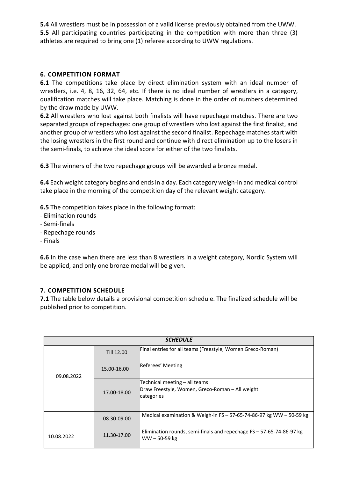**5.4** All wrestlers must be in possession of a valid license previously obtained from the UWW. **5.5** All participating countries participating in the competition with more than three (3) athletes are required to bring one (1) referee according to UWW regulations.

#### **6. COMPETITION FORMAT**

**6.1** The competitions take place by direct elimination system with an ideal number of wrestlers, i.e. 4, 8, 16, 32, 64, etc. If there is no ideal number of wrestlers in a category, qualification matches will take place. Matching is done in the order of numbers determined by the draw made by UWW.

**6.2** All wrestlers who lost against both finalists will have repechage matches. There are two separated groups of repechages: one group of wrestlers who lost against the first finalist, and another group of wrestlers who lost against the second finalist. Repechage matches start with the losing wrestlers in the first round and continue with direct elimination up to the losers in the semi-finals, to achieve the ideal score for either of the two finalists.

**6.3** The winners of the two repechage groups will be awarded a bronze medal.

**6.4** Each weight category begins and ends in a day. Each category weigh-in and medical control take place in the morning of the competition day of the relevant weight category.

**6.5** The competition takes place in the following format:

- *-* Elimination rounds
- Semi-finals
- Repechage rounds
- Finals

**6.6** In the case when there are less than 8 wrestlers in a weight category, Nordic System will be applied, and only one bronze medal will be given.

#### **7. COMPETITION SCHEDULE**

**7.1** The table below details a provisional competition schedule. The finalized schedule will be published prior to competition.

| <b>SCHEDULE</b> |             |                                                                                                |  |  |
|-----------------|-------------|------------------------------------------------------------------------------------------------|--|--|
|                 | Till 12.00  | Final entries for all teams (Freestyle, Women Greco-Roman)                                     |  |  |
| 09.08.2022      | 15.00-16.00 | Referees' Meeting                                                                              |  |  |
|                 | 17.00-18.00 | Technical meeting - all teams<br>Draw Freestyle, Women, Greco-Roman - All weight<br>categories |  |  |
|                 | 08.30-09.00 | Medical examination & Weigh-in FS $-57-65-74-86-97$ kg WW $-50-59$ kg                          |  |  |
| 10.08.2022      | 11.30-17.00 | Elimination rounds, semi-finals and repechage $FS - 57-65-74-86-97$ kg<br>$WW - 50 - 59$ kg    |  |  |